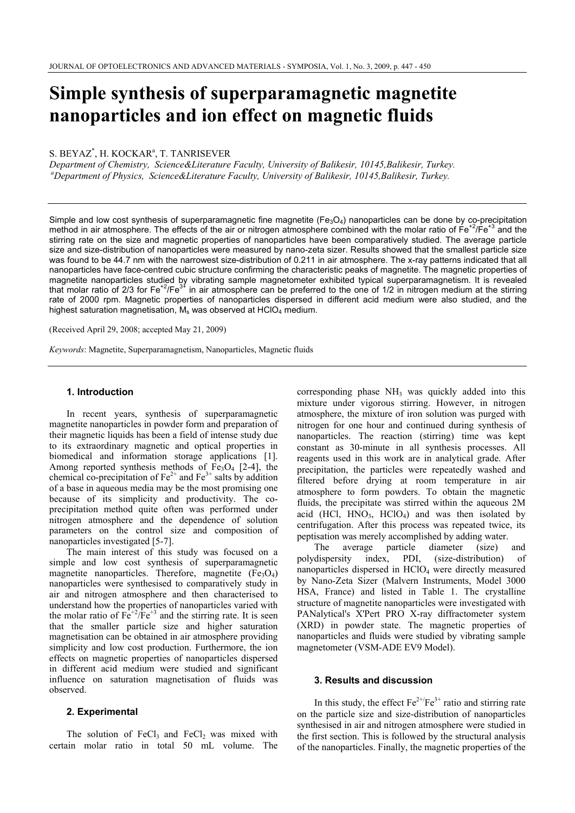# **Simple synthesis of superparamagnetic magnetite nanoparticles and ion effect on magnetic fluids**

S. BEYAZ<sup>\*</sup>, H. KOCKAR<sup>a</sup>, T. TANRISEVER

*Department of Chemistry, Science&Literature Faculty, University of Balikesir, 10145,Balikesir, Turkey. aDepartment of Physics, Science&Literature Faculty, University of Balikesir, 10145,Balikesir, Turkey. aDepartment* 

Simple and low cost synthesis of superparamagnetic fine magnetite ( $Fe<sub>3</sub>O<sub>4</sub>$ ) nanoparticles can be done by co-precipitation method in air atmosphere. The effects of the air or nitrogen atmosphere combined with the molar ratio of  $Fe^{+2}/Fe^{+3}$  and the stirring rate on the size and magnetic properties of nanoparticles have been comparatively studied. The average particle size and size-distribution of nanoparticles were measured by nano-zeta sizer. Results showed that the smallest particle size was found to be 44.7 nm with the narrowest size-distribution of 0.211 in air atmosphere. The x-ray patterns indicated that all nanoparticles have face-centred cubic structure confirming the characteristic peaks of magnetite. The magnetic properties of magnetite nanoparticles studied by vibrating sample magnetometer exhibited typical superparamagnetism. It is revealed that molar ratio of 2/3 for Fe<sup>+2</sup>/Fe<sup>3+</sup> in air atmosphere can be preferred to the one of  $1/2$  in nitrogen medium at the stirring rate of 2000 rpm. Magnetic properties of nanoparticles dispersed in different acid medium were also studied, and the highest saturation magnetisation,  $M_s$  was observed at HClO<sub>4</sub> medium.

(Received April 29, 2008; accepted May 21, 2009)

*Keywords*: Magnetite, Superparamagnetism, Nanoparticles, Magnetic fluids

#### **1. Introduction**

In recent years, synthesis of superparamagnetic magnetite nanoparticles in powder form and preparation of their magnetic liquids has been a field of intense study due to its extraordinary magnetic and optical properties in biomedical and information storage applications [1]. Among reported synthesis methods of  $Fe<sub>3</sub>O<sub>4</sub>$  [2-4], the chemical co-precipitation of  $Fe^{2+}$  and  $Fe^{3+}$  salts by addition of a base in aqueous media may be the most promising one because of its simplicity and productivity. The coprecipitation method quite often was performed under nitrogen atmosphere and the dependence of solution parameters on the control size and composition of nanoparticles investigated [5-7].

The main interest of this study was focused on a simple and low cost synthesis of superparamagnetic magnetite nanoparticles. Therefore, magnetite  $(Fe<sub>3</sub>O<sub>4</sub>)$ nanoparticles were synthesised to comparatively study in air and nitrogen atmosphere and then characterised to understand how the properties of nanoparticles varied with the molar ratio of  $Fe^{+2}/Fe^{+3}$  and the stirring rate. It is seen that the smaller particle size and higher saturation magnetisation can be obtained in air atmosphere providing simplicity and low cost production. Furthermore, the ion effects on magnetic properties of nanoparticles dispersed in different acid medium were studied and significant influence on saturation magnetisation of fluids was observed.

### **2. Experimental**

The solution of FeCl<sub>3</sub> and FeCl<sub>2</sub> was mixed with certain molar ratio in total 50 mL volume. The corresponding phase  $NH<sub>3</sub>$  was quickly added into this mixture under vigorous stirring. However, in nitrogen atmosphere, the mixture of iron solution was purged with nitrogen for one hour and continued during synthesis of nanoparticles. The reaction (stirring) time was kept constant as 30-minute in all synthesis processes. All reagents used in this work are in analytical grade. After precipitation, the particles were repeatedly washed and filtered before drying at room temperature in air atmosphere to form powders. To obtain the magnetic fluids, the precipitate was stirred within the aqueous 2M acid (HCl,  $HNO<sub>3</sub>$ ,  $HClO<sub>4</sub>$ ) and was then isolated by centrifugation. After this process was repeated twice, its peptisation was merely accomplished by adding water.

The average particle diameter (size) and polydispersity index, PDI, (size-distribution) of nanoparticles dispersed in HClO4 were directly measured by Nano-Zeta Sizer (Malvern Instruments, Model 3000 HSA, France) and listed in Table 1. The crystalline structure of magnetite nanoparticles were investigated with PANalytical's X'Pert PRO X-ray diffractometer system (XRD) in powder state. The magnetic properties of nanoparticles and fluids were studied by vibrating sample magnetometer (VSM-ADE EV9 Model).

# **3. Results and discussion**

In this study, the effect  $Fe^{2+}/Fe^{3+}$  ratio and stirring rate on the particle size and size-distribution of nanoparticles synthesised in air and nitrogen atmosphere were studied in the first section. This is followed by the structural analysis of the nanoparticles. Finally, the magnetic properties of the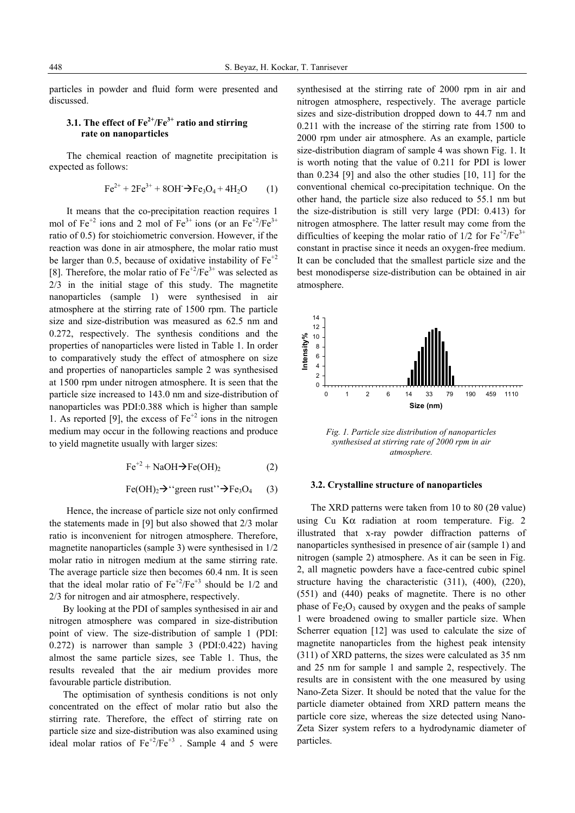particles in powder and fluid form were presented and discussed.

# **3.1. The effect of Fe2+/Fe3+ ratio and stirring rate on nanoparticles**

The chemical reaction of magnetite precipitation is expected as follows:

$$
Fe^{2+} + 2Fe^{3+} + 8OH \rightarrow Fe_3O_4 + 4H_2O \qquad (1)
$$

It means that the co-precipitation reaction requires 1 mol of  $Fe^{+2}$  ions and 2 mol of  $Fe^{3+}$  ions (or an  $Fe^{+2}/Fe^{3+}$ ratio of 0.5) for stoichiometric conversion. However, if the reaction was done in air atmosphere, the molar ratio must be larger than 0.5, because of oxidative instability of  $Fe^{+2}$ [8]. Therefore, the molar ratio of  $Fe^{+2}/Fe^{3+}$  was selected as 2/3 in the initial stage of this study. The magnetite nanoparticles (sample 1) were synthesised in air atmosphere at the stirring rate of 1500 rpm. The particle size and size-distribution was measured as 62.5 nm and 0.272, respectively. The synthesis conditions and the properties of nanoparticles were listed in Table 1. In order to comparatively study the effect of atmosphere on size and properties of nanoparticles sample 2 was synthesised at 1500 rpm under nitrogen atmosphere. It is seen that the particle size increased to 143.0 nm and size-distribution of nanoparticles was PDI:0.388 which is higher than sample 1. As reported [9], the excess of  $Fe^{+2}$  ions in the nitrogen medium may occur in the following reactions and produce to yield magnetite usually with larger sizes:

$$
Fe^{+2} + NaOH \rightarrow Fe(OH)_2
$$
 (2)

$$
\text{Fe(OH)}_2 \rightarrow \text{``green rust''} \rightarrow \text{Fe}_3\text{O}_4 \qquad (3)
$$

Hence, the increase of particle size not only confirmed the statements made in [9] but also showed that 2/3 molar ratio is inconvenient for nitrogen atmosphere. Therefore, magnetite nanoparticles (sample 3) were synthesised in 1/2 molar ratio in nitrogen medium at the same stirring rate. The average particle size then becomes 60.4 nm. It is seen that the ideal molar ratio of  $Fe^{+2}/Fe^{+3}$  should be 1/2 and 2/3 for nitrogen and air atmosphere, respectively.

By looking at the PDI of samples synthesised in air and nitrogen atmosphere was compared in size-distribution point of view. The size-distribution of sample 1 (PDI: 0.272) is narrower than sample 3 (PDI:0.422) having almost the same particle sizes, see Table 1. Thus, the results revealed that the air medium provides more favourable particle distribution.

The optimisation of synthesis conditions is not only concentrated on the effect of molar ratio but also the stirring rate. Therefore, the effect of stirring rate on particle size and size-distribution was also examined using ideal molar ratios of  $Fe^{+2}/Fe^{+3}$ . Sample 4 and 5 were synthesised at the stirring rate of 2000 rpm in air and nitrogen atmosphere, respectively. The average particle sizes and size-distribution dropped down to 44.7 nm and 0.211 with the increase of the stirring rate from 1500 to 2000 rpm under air atmosphere. As an example, particle size-distribution diagram of sample 4 was shown Fig. 1. It is worth noting that the value of 0.211 for PDI is lower than 0.234 [9] and also the other studies [10, 11] for the conventional chemical co-precipitation technique. On the other hand, the particle size also reduced to 55.1 nm but the size-distribution is still very large (PDI: 0.413) for nitrogen atmosphere. The latter result may come from the difficulties of keeping the molar ratio of  $1/2$  for  $Fe^{+2}/Fe^{3+}$ constant in practise since it needs an oxygen-free medium. It can be concluded that the smallest particle size and the best monodisperse size-distribution can be obtained in air atmosphere.



*Fig. 1. Particle size distribution of nanoparticles synthesised at stirring rate of 2000 rpm in air atmosphere.* 

### **3.2. Crystalline structure of nanoparticles**

The XRD patterns were taken from 10 to 80 (2θ value) using Cu Kα radiation at room temperature. Fig. 2 illustrated that x-ray powder diffraction patterns of nanoparticles synthesised in presence of air (sample 1) and nitrogen (sample 2) atmosphere. As it can be seen in Fig. 2, all magnetic powders have a face-centred cubic spinel structure having the characteristic (311), (400), (220), (551) and (440) peaks of magnetite. There is no other phase of  $Fe<sub>2</sub>O<sub>3</sub>$  caused by oxygen and the peaks of sample 1 were broadened owing to smaller particle size. When Scherrer equation [12] was used to calculate the size of magnetite nanoparticles from the highest peak intensity (311) of XRD patterns, the sizes were calculated as 35 nm and 25 nm for sample 1 and sample 2, respectively. The results are in consistent with the one measured by using Nano-Zeta Sizer. It should be noted that the value for the particle diameter obtained from XRD pattern means the particle core size, whereas the size detected using Nano-Zeta Sizer system refers to a hydrodynamic diameter of particles.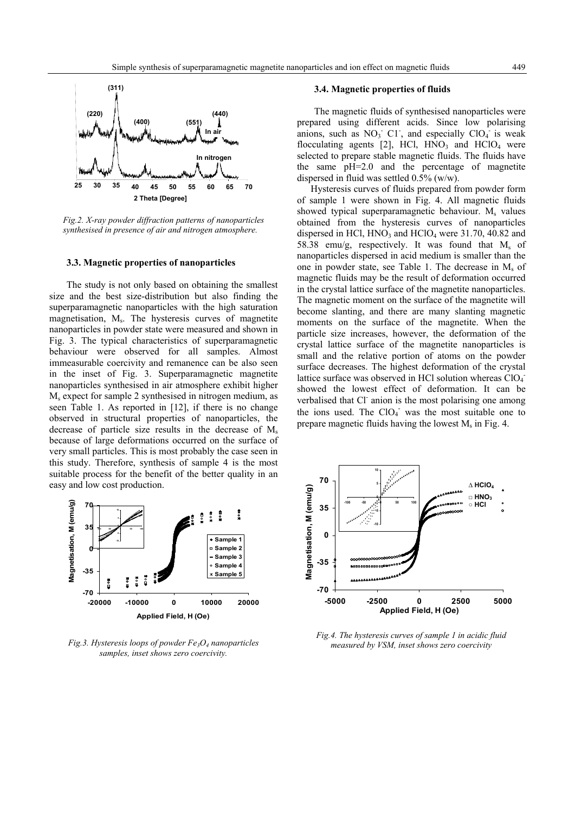

*Fig.2. X-ray powder diffraction patterns of nanoparticles synthesised in presence of air and nitrogen atmosphere.* 

#### **3.3. Magnetic properties of nanoparticles**

The study is not only based on obtaining the smallest size and the best size-distribution but also finding the superparamagnetic nanoparticles with the high saturation magnetisation, Ms. The hysteresis curves of magnetite nanoparticles in powder state were measured and shown in Fig. 3. The typical characteristics of superparamagnetic behaviour were observed for all samples. Almost immeasurable coercivity and remanence can be also seen in the inset of Fig. 3. Superparamagnetic magnetite nanoparticles synthesised in air atmosphere exhibit higher  $M<sub>s</sub>$  expect for sample 2 synthesised in nitrogen medium, as seen Table 1. As reported in [12], if there is no change observed in structural properties of nanoparticles, the decrease of particle size results in the decrease of  $M_s$ because of large deformations occurred on the surface of very small particles. This is most probably the case seen in this study. Therefore, synthesis of sample 4 is the most suitable process for the benefit of the better quality in an easy and low cost production.



*Fig.3. Hysteresis loops of powder Fe3O4 nanoparticles samples, inset shows zero coercivity.* 

The magnetic fluids of synthesised nanoparticles were prepared using different acids. Since low polarising anions, such as  $NO<sub>3</sub>$ <sup>-</sup> C1<sup>-</sup>, and especially  $ClO<sub>4</sub>$ <sup>-</sup> is weak flocculating agents [2], HCl,  $HNO_3$  and  $HClO_4$  were selected to prepare stable magnetic fluids. The fluids have the same pH=2.0 and the percentage of magnetite dispersed in fluid was settled 0.5% (w/w).

Hysteresis curves of fluids prepared from powder form of sample 1 were shown in Fig. 4. All magnetic fluids showed typical superparamagnetic behaviour.  $M_s$  values obtained from the hysteresis curves of nanoparticles dispersed in HCl,  $HNO_3$  and  $HClO_4$  were 31.70, 40.82 and 58.38 emu/g, respectively. It was found that  $M_s$  of nanoparticles dispersed in acid medium is smaller than the one in powder state, see Table 1. The decrease in  $M_s$  of magnetic fluids may be the result of deformation occurred in the crystal lattice surface of the magnetite nanoparticles. The magnetic moment on the surface of the magnetite will become slanting, and there are many slanting magnetic moments on the surface of the magnetite. When the particle size increases, however, the deformation of the crystal lattice surface of the magnetite nanoparticles is small and the relative portion of atoms on the powder surface decreases. The highest deformation of the crystal lattice surface was observed in HCl solution whereas ClO<sub>4</sub> showed the lowest effect of deformation. It can be verbalised that Cl<sup>-</sup> anion is the most polarising one among the ions used. The  $ClO<sub>4</sub>$  was the most suitable one to prepare magnetic fluids having the lowest  $M_s$  in Fig. 4.



*Fig.4. The hysteresis curves of sample 1 in acidic fluid measured by VSM, inset shows zero coercivity*